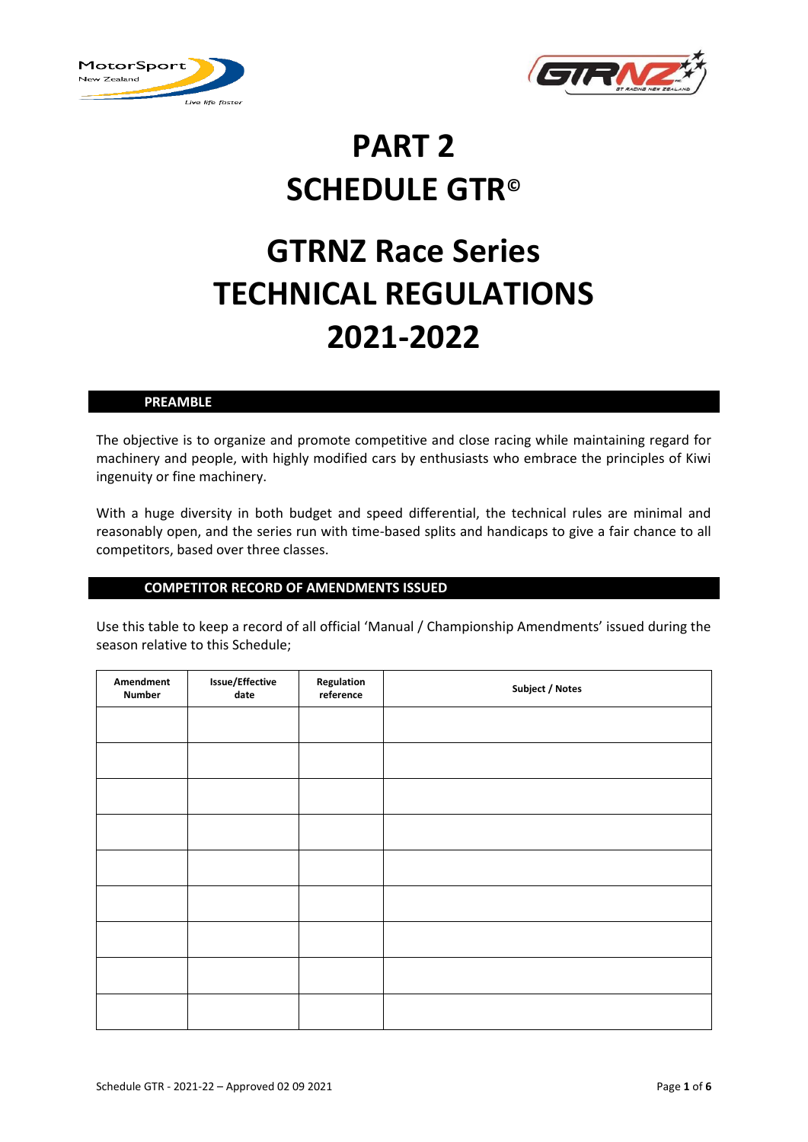



# **PART 2 SCHEDULE GTR©**

# **GTRNZ Race Series TECHNICAL REGULATIONS 2021-2022**

# **PREAMBLE**

The objective is to organize and promote competitive and close racing while maintaining regard for machinery and people, with highly modified cars by enthusiasts who embrace the principles of Kiwi ingenuity or fine machinery.

With a huge diversity in both budget and speed differential, the technical rules are minimal and reasonably open, and the series run with time-based splits and handicaps to give a fair chance to all competitors, based over three classes.

# **COMPETITOR RECORD OF AMENDMENTS ISSUED**

Use this table to keep a record of all official 'Manual / Championship Amendments' issued during the season relative to this Schedule;

| Amendment<br><b>Number</b> | Issue/Effective<br>date | Regulation<br>reference | Subject / Notes |
|----------------------------|-------------------------|-------------------------|-----------------|
|                            |                         |                         |                 |
|                            |                         |                         |                 |
|                            |                         |                         |                 |
|                            |                         |                         |                 |
|                            |                         |                         |                 |
|                            |                         |                         |                 |
|                            |                         |                         |                 |
|                            |                         |                         |                 |
|                            |                         |                         |                 |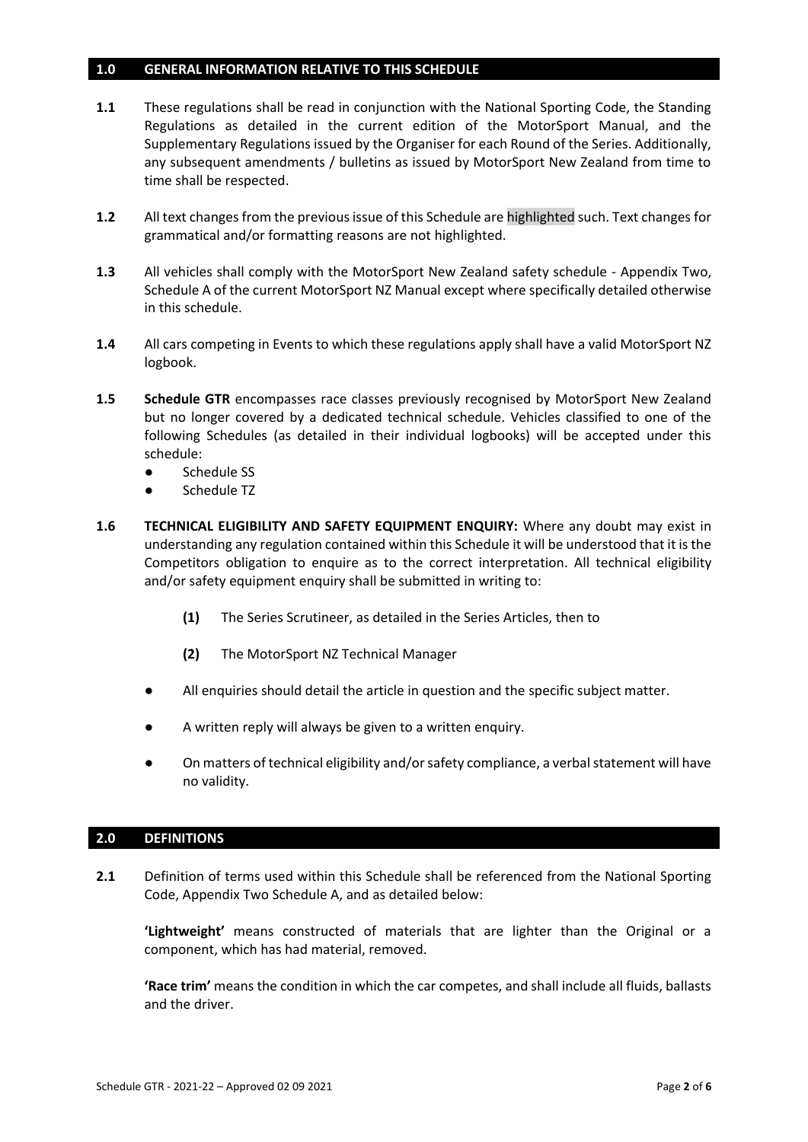# **1.0 GENERAL INFORMATION RELATIVE TO THIS SCHEDULE**

- **1.1** These regulations shall be read in conjunction with the National Sporting Code, the Standing Regulations as detailed in the current edition of the MotorSport Manual, and the Supplementary Regulations issued by the Organiser for each Round of the Series. Additionally, any subsequent amendments / bulletins as issued by MotorSport New Zealand from time to time shall be respected.
- **1.2** All text changes from the previous issue of this Schedule are highlighted such. Text changes for grammatical and/or formatting reasons are not highlighted.
- **1.3** All vehicles shall comply with the MotorSport New Zealand safety schedule Appendix Two, Schedule A of the current MotorSport NZ Manual except where specifically detailed otherwise in this schedule.
- **1.4** All cars competing in Events to which these regulations apply shall have a valid MotorSport NZ logbook.
- **1.5 Schedule GTR** encompasses race classes previously recognised by MotorSport New Zealand but no longer covered by a dedicated technical schedule. Vehicles classified to one of the following Schedules (as detailed in their individual logbooks) will be accepted under this schedule:
	- Schedule SS
	- Schedule TZ
- **1.6 TECHNICAL ELIGIBILITY AND SAFETY EQUIPMENT ENQUIRY:** Where any doubt may exist in understanding any regulation contained within this Schedule it will be understood that it is the Competitors obligation to enquire as to the correct interpretation. All technical eligibility and/or safety equipment enquiry shall be submitted in writing to:
	- **(1)** The Series Scrutineer, as detailed in the Series Articles, then to
	- **(2)** The MotorSport NZ Technical Manager
	- All enquiries should detail the article in question and the specific subject matter.
	- A written reply will always be given to a written enquiry.
	- On matters of technical eligibility and/or safety compliance, a verbal statement will have no validity.

### **2.0 DEFINITIONS**

**2.1** Definition of terms used within this Schedule shall be referenced from the National Sporting Code, Appendix Two Schedule A, and as detailed below:

**'Lightweight'** means constructed of materials that are lighter than the Original or a component, which has had material, removed.

**'Race trim'** means the condition in which the car competes, and shall include all fluids, ballasts and the driver.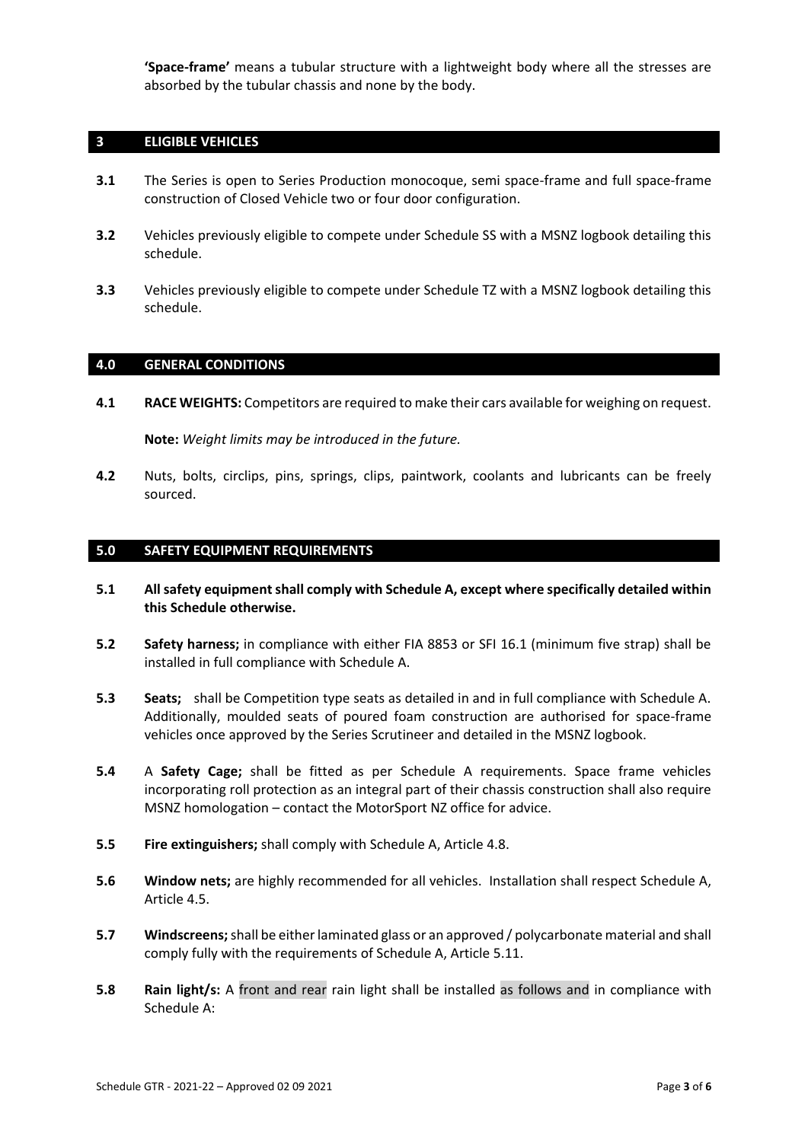**'Space-frame'** means a tubular structure with a lightweight body where all the stresses are absorbed by the tubular chassis and none by the body.

# **3 ELIGIBLE VEHICLES**

- **3.1** The Series is open to Series Production monocoque, semi space-frame and full space-frame construction of Closed Vehicle two or four door configuration.
- **3.2** Vehicles previously eligible to compete under Schedule SS with a MSNZ logbook detailing this schedule.
- **3.3** Vehicles previously eligible to compete under Schedule TZ with a MSNZ logbook detailing this schedule.

# **4.0 GENERAL CONDITIONS**

**4.1 RACE WEIGHTS:** Competitors are required to make their cars available for weighing on request.

**Note:** *Weight limits may be introduced in the future.* 

**4.2** Nuts, bolts, circlips, pins, springs, clips, paintwork, coolants and lubricants can be freely sourced.

# **5.0 SAFETY EQUIPMENT REQUIREMENTS**

- **5.1 All safety equipment shall comply with Schedule A, except where specifically detailed within this Schedule otherwise.**
- **5.2 Safety harness;** in compliance with either FIA 8853 or SFI 16.1 (minimum five strap) shall be installed in full compliance with Schedule A.
- **5.3 Seats;** shall be Competition type seats as detailed in and in full compliance with Schedule A. Additionally, moulded seats of poured foam construction are authorised for space-frame vehicles once approved by the Series Scrutineer and detailed in the MSNZ logbook.
- **5.4** A **Safety Cage;** shall be fitted as per Schedule A requirements. Space frame vehicles incorporating roll protection as an integral part of their chassis construction shall also require MSNZ homologation – contact the MotorSport NZ office for advice.
- **5.5 Fire extinguishers;** shall comply with Schedule A, Article 4.8.
- **5.6 Window nets;** are highly recommended for all vehicles. Installation shall respect Schedule A, Article 4.5.
- **5.7 Windscreens;** shall be either laminated glass or an approved / polycarbonate material and shall comply fully with the requirements of Schedule A, Article 5.11.
- **5.8 Rain light/s:** A front and rear rain light shall be installed as follows and in compliance with Schedule A: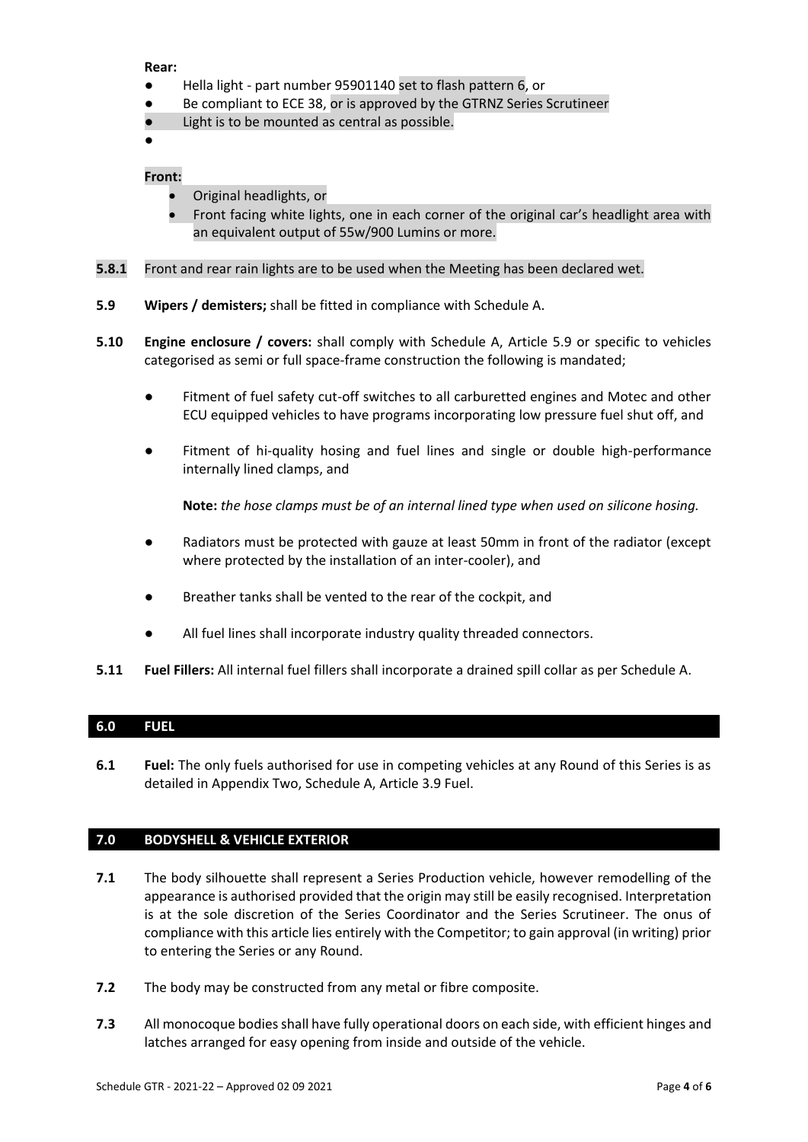## **Rear:**

- Hella light part number 95901140 set to flash pattern 6, or
- Be compliant to ECE 38, or is approved by the GTRNZ Series Scrutineer
- Light is to be mounted as central as possible.

●

# **Front:**

- Original headlights, or
- Front facing white lights, one in each corner of the original car's headlight area with an equivalent output of 55w/900 Lumins or more.
- **5.8.1** Front and rear rain lights are to be used when the Meeting has been declared wet.
- **5.9 Wipers / demisters;** shall be fitted in compliance with Schedule A.
- **5.10 Engine enclosure / covers:** shall comply with Schedule A, Article 5.9 or specific to vehicles categorised as semi or full space-frame construction the following is mandated;
	- Fitment of fuel safety cut-off switches to all carburetted engines and Motec and other ECU equipped vehicles to have programs incorporating low pressure fuel shut off, and
	- Fitment of hi-quality hosing and fuel lines and single or double high-performance internally lined clamps, and

**Note:** *the hose clamps must be of an internal lined type when used on silicone hosing.*

- Radiators must be protected with gauze at least 50mm in front of the radiator (except where protected by the installation of an inter-cooler), and
- Breather tanks shall be vented to the rear of the cockpit, and
- All fuel lines shall incorporate industry quality threaded connectors.
- **5.11 Fuel Fillers:** All internal fuel fillers shall incorporate a drained spill collar as per Schedule A.

# **6.0 FUEL**

**6.1 Fuel:** The only fuels authorised for use in competing vehicles at any Round of this Series is as detailed in Appendix Two, Schedule A, Article 3.9 Fuel.

# **7.0 BODYSHELL & VEHICLE EXTERIOR**

- **7.1** The body silhouette shall represent a Series Production vehicle, however remodelling of the appearance is authorised provided that the origin may still be easily recognised. Interpretation is at the sole discretion of the Series Coordinator and the Series Scrutineer. The onus of compliance with this article lies entirely with the Competitor; to gain approval (in writing) prior to entering the Series or any Round.
- **7.2** The body may be constructed from any metal or fibre composite.
- **7.3** All monocoque bodies shall have fully operational doors on each side, with efficient hinges and latches arranged for easy opening from inside and outside of the vehicle.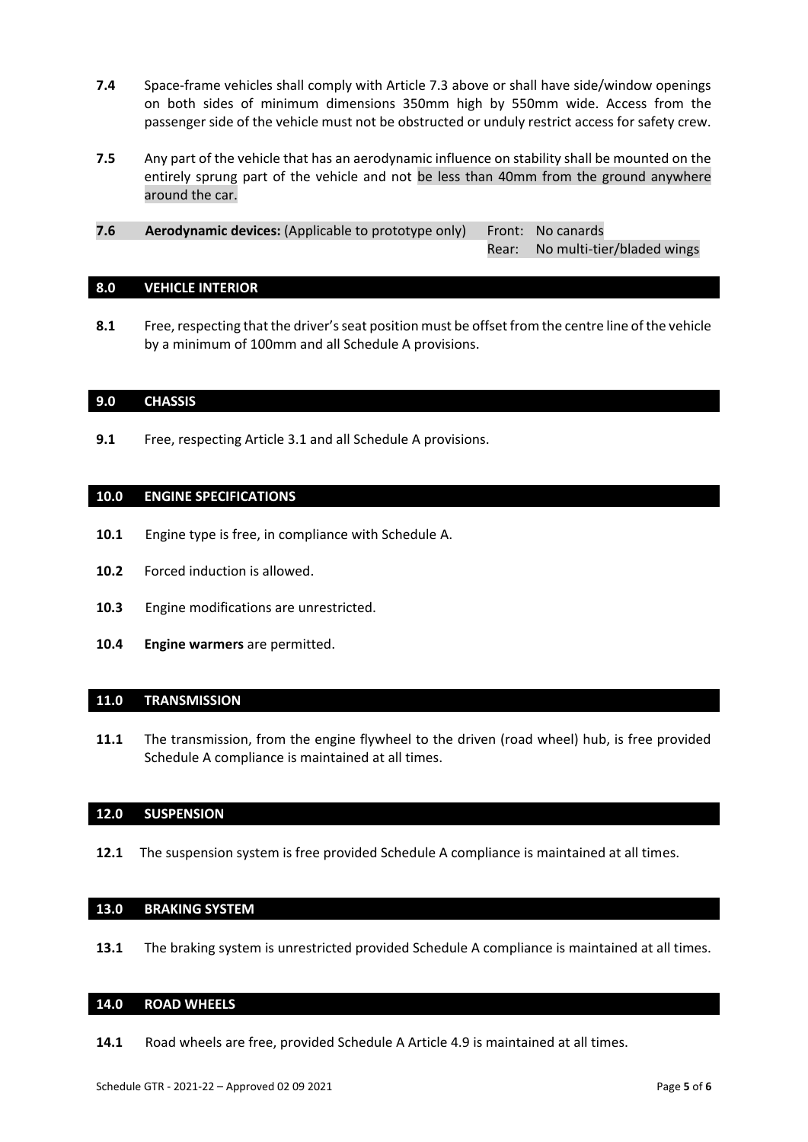- **7.4** Space-frame vehicles shall comply with Article 7.3 above or shall have side/window openings on both sides of minimum dimensions 350mm high by 550mm wide. Access from the passenger side of the vehicle must not be obstructed or unduly restrict access for safety crew.
- **7.5** Any part of the vehicle that has an aerodynamic influence on stability shall be mounted on the entirely sprung part of the vehicle and not be less than 40mm from the ground anywhere around the car.
- **7.6 Aerodynamic devices:** (Applicable to prototype only) Front: No canards Rear: No multi-tier/bladed wings

### **8.0 VEHICLE INTERIOR**

**8.1** Free, respecting that the driver's seat position must be offset from the centre line of the vehicle by a minimum of 100mm and all Schedule A provisions.

### **9.0 CHASSIS**

**9.1** Free, respecting Article 3.1 and all Schedule A provisions.

# **10.0 ENGINE SPECIFICATIONS**

- **10.1** Engine type is free, in compliance with Schedule A.
- **10.2** Forced induction is allowed.
- **10.3** Engine modifications are unrestricted.
- **10.4 Engine warmers** are permitted.

### **11.0 TRANSMISSION**

**11.1** The transmission, from the engine flywheel to the driven (road wheel) hub, is free provided Schedule A compliance is maintained at all times.

### **12.0 SUSPENSION**

**12.1** The suspension system is free provided Schedule A compliance is maintained at all times.

# **13.0 BRAKING SYSTEM**

**13.1** The braking system is unrestricted provided Schedule A compliance is maintained at all times.

## **14.0 ROAD WHEELS**

**14.1** Road wheels are free, provided Schedule A Article 4.9 is maintained at all times.